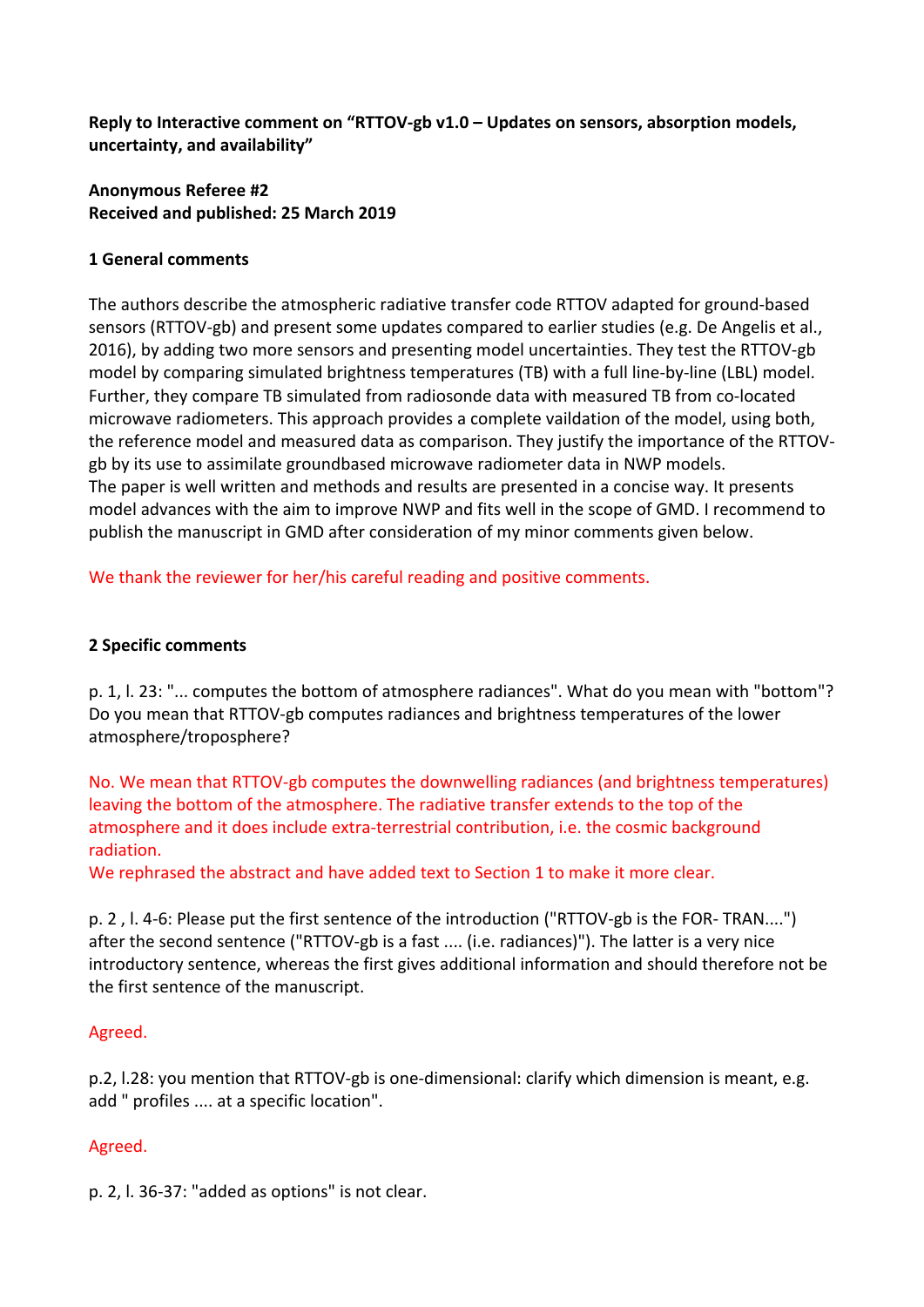Reply to Interactive comment on "RTTOV-gb v1.0 – Updates on sensors, absorption models, **uncertainty, and availability"**

## **Anonymous Referee #2 Received and published: 25 March 2019**

### **1 General comments**

The authors describe the atmospheric radiative transfer code RTTOV adapted for ground-based sensors (RTTOV-gb) and present some updates compared to earlier studies (e.g. De Angelis et al., 2016), by adding two more sensors and presenting model uncertainties. They test the RTTOV-gb model by comparing simulated brightness temperatures (TB) with a full line-by-line (LBL) model. Further, they compare TB simulated from radiosonde data with measured TB from co-located microwave radiometers. This approach provides a complete vaildation of the model, using both, the reference model and measured data as comparison. They justify the importance of the RTTOVgb by its use to assimilate groundbased microwave radiometer data in NWP models. The paper is well written and methods and results are presented in a concise way. It presents model advances with the aim to improve NWP and fits well in the scope of GMD. I recommend to publish the manuscript in GMD after consideration of my minor comments given below.

We thank the reviewer for her/his careful reading and positive comments.

#### **2 Specific comments**

p. 1, l. 23: "... computes the bottom of atmosphere radiances". What do you mean with "bottom"? Do you mean that RTTOV-gb computes radiances and brightness temperatures of the lower atmosphere/troposphere?

No. We mean that RTTOV-gb computes the downwelling radiances (and brightness temperatures) leaving the bottom of the atmosphere. The radiative transfer extends to the top of the atmosphere and it does include extra-terrestrial contribution, i.e. the cosmic background radiation.

We rephrased the abstract and have added text to Section 1 to make it more clear.

p. 2, l. 4-6: Please put the first sentence of the introduction ("RTTOV-gb is the FOR- TRAN....") after the second sentence ("RTTOV-gb is a fast .... (i.e. radiances)"). The latter is a very nice introductory sentence, whereas the first gives additional information and should therefore not be the first sentence of the manuscript.

#### Agreed.

p.2, l.28: you mention that RTTOV-gb is one-dimensional: clarify which dimension is meant, e.g. add " profiles .... at a specific location".

## Agreed.

p. 2, l. 36-37: "added as options" is not clear.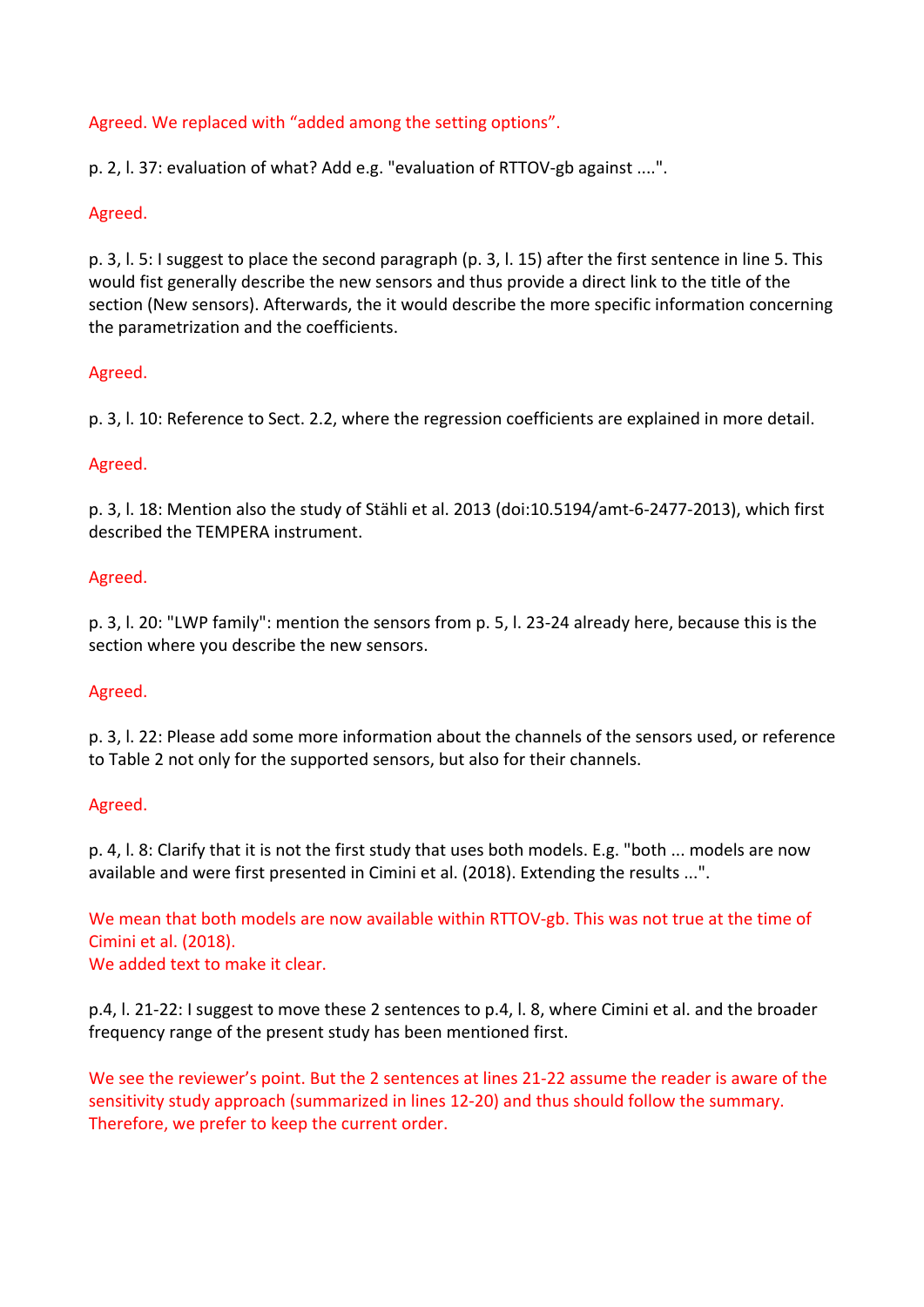# Agreed. We replaced with "added among the setting options".

p. 2, l. 37: evaluation of what? Add e.g. "evaluation of RTTOV-gb against ....".

### Agreed.

p. 3, l. 5: I suggest to place the second paragraph (p. 3, l. 15) after the first sentence in line 5. This would fist generally describe the new sensors and thus provide a direct link to the title of the section (New sensors). Afterwards, the it would describe the more specific information concerning the parametrization and the coefficients.

### Agreed.

p. 3, l. 10: Reference to Sect. 2.2, where the regression coefficients are explained in more detail.

### Agreed.

p. 3, l. 18: Mention also the study of Stähli et al. 2013 (doi:10.5194/amt-6-2477-2013), which first described the TEMPERA instrument.

### Agreed.

p. 3, l. 20: "LWP family": mention the sensors from p. 5, l. 23-24 already here, because this is the section where you describe the new sensors.

#### Agreed.

p. 3, l. 22: Please add some more information about the channels of the sensors used, or reference to Table 2 not only for the supported sensors, but also for their channels.

#### Agreed.

p. 4, l. 8: Clarify that it is not the first study that uses both models. E.g. "both ... models are now available and were first presented in Cimini et al. (2018). Extending the results ...".

We mean that both models are now available within RTTOV-gb. This was not true at the time of Cimini et al. (2018).

We added text to make it clear.

p.4, l. 21-22: I suggest to move these 2 sentences to p.4, l. 8, where Cimini et al. and the broader frequency range of the present study has been mentioned first.

We see the reviewer's point. But the 2 sentences at lines 21-22 assume the reader is aware of the sensitivity study approach (summarized in lines 12-20) and thus should follow the summary. Therefore, we prefer to keep the current order.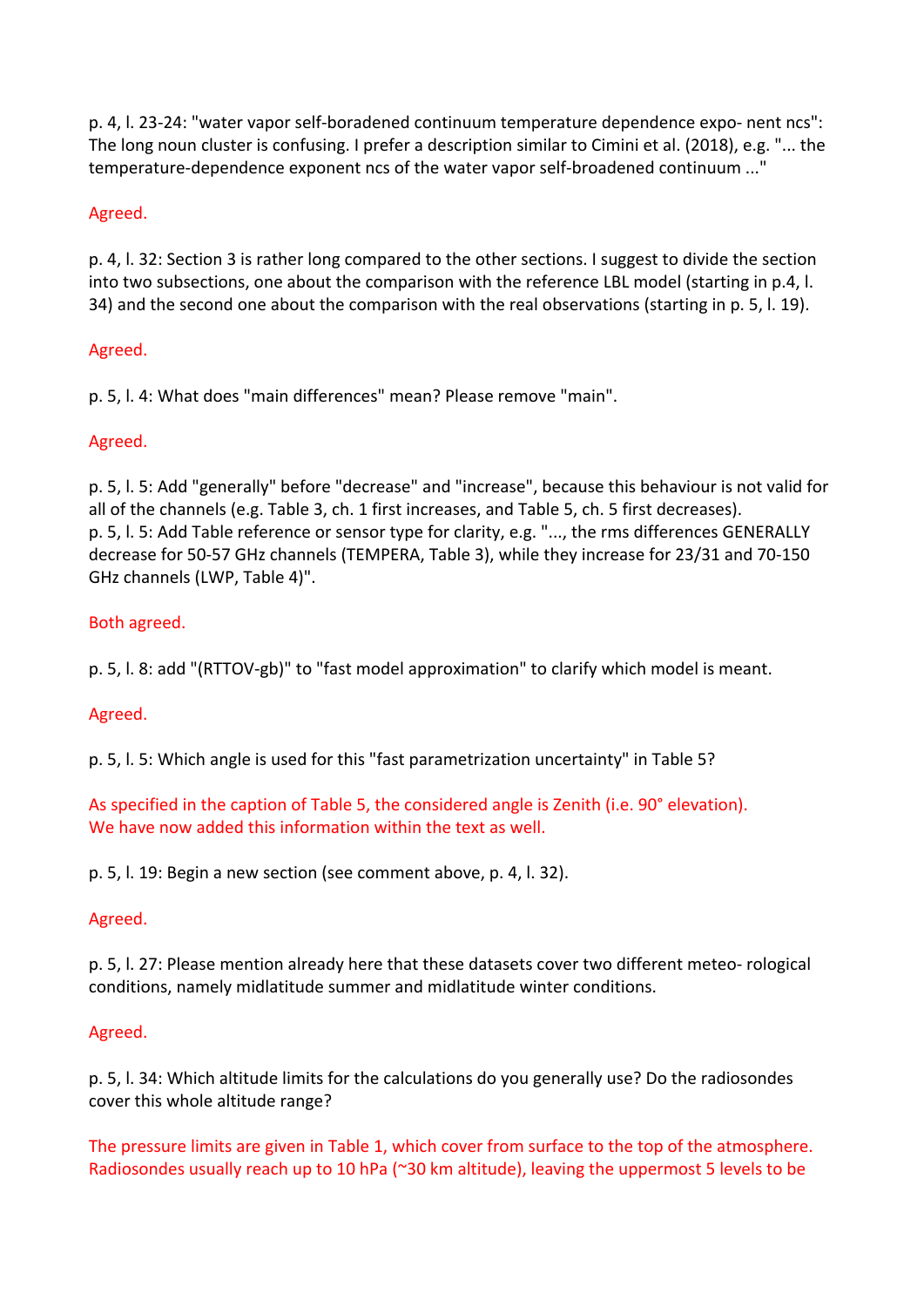p. 4, l. 23-24: "water vapor self-boradened continuum temperature dependence expo- nent ncs": The long noun cluster is confusing. I prefer a description similar to Cimini et al. (2018), e.g. "... the temperature-dependence exponent ncs of the water vapor self-broadened continuum ..."

# Agreed.

p. 4, l. 32: Section 3 is rather long compared to the other sections. I suggest to divide the section into two subsections, one about the comparison with the reference LBL model (starting in p.4, l. 34) and the second one about the comparison with the real observations (starting in p. 5, l. 19).

## Agreed.

p. 5, I. 4: What does "main differences" mean? Please remove "main".

# Agreed.

p. 5, l. 5: Add "generally" before "decrease" and "increase", because this behaviour is not valid for all of the channels (e.g. Table 3, ch. 1 first increases, and Table 5, ch. 5 first decreases). p. 5, l. 5: Add Table reference or sensor type for clarity, e.g. "..., the rms differences GENERALLY decrease for 50-57 GHz channels (TEMPERA, Table 3), while they increase for 23/31 and 70-150 GHz channels (LWP, Table 4)".

# Both agreed.

p. 5, l. 8: add "(RTTOV-gb)" to "fast model approximation" to clarify which model is meant.

## Agreed.

p. 5, l. 5: Which angle is used for this "fast parametrization uncertainty" in Table 5?

As specified in the caption of Table 5, the considered angle is Zenith (i.e. 90° elevation). We have now added this information within the text as well.

p. 5, l. 19: Begin a new section (see comment above, p. 4, l. 32).

## Agreed.

p. 5, l. 27: Please mention already here that these datasets cover two different meteo- rological conditions, namely midlatitude summer and midlatitude winter conditions.

## Agreed.

p. 5, l. 34: Which altitude limits for the calculations do you generally use? Do the radiosondes cover this whole altitude range?

The pressure limits are given in Table 1, which cover from surface to the top of the atmosphere. Radiosondes usually reach up to 10 hPa ( $\approx$ 30 km altitude), leaving the uppermost 5 levels to be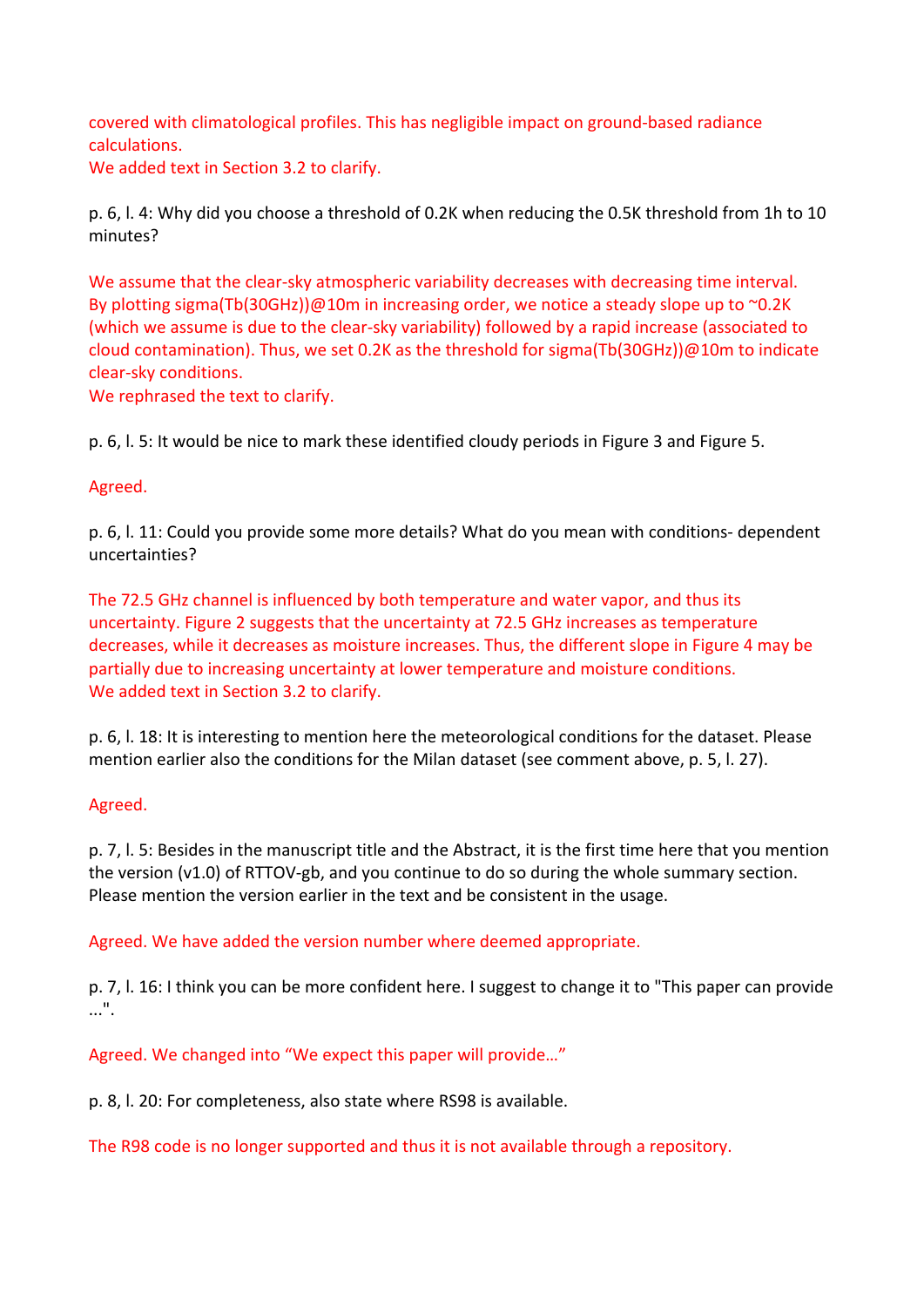covered with climatological profiles. This has negligible impact on ground-based radiance calculations.

We added text in Section 3.2 to clarify.

p. 6, l. 4: Why did you choose a threshold of 0.2K when reducing the 0.5K threshold from 1h to 10 minutes?

We assume that the clear-sky atmospheric variability decreases with decreasing time interval. By plotting sigma(Tb(30GHz))@10m in increasing order, we notice a steady slope up to  $\sim$ 0.2K (which we assume is due to the clear-sky variability) followed by a rapid increase (associated to cloud contamination). Thus, we set 0.2K as the threshold for sigma(Tb(30GHz))@10m to indicate clear-sky conditions.

We rephrased the text to clarify.

p. 6, l. 5: It would be nice to mark these identified cloudy periods in Figure 3 and Figure 5.

# Agreed.

p. 6, l. 11: Could you provide some more details? What do you mean with conditions- dependent uncertainties?

The 72.5 GHz channel is influenced by both temperature and water vapor, and thus its uncertainty. Figure 2 suggests that the uncertainty at 72.5 GHz increases as temperature decreases, while it decreases as moisture increases. Thus, the different slope in Figure 4 may be partially due to increasing uncertainty at lower temperature and moisture conditions. We added text in Section 3.2 to clarify.

p. 6, l. 18: It is interesting to mention here the meteorological conditions for the dataset. Please mention earlier also the conditions for the Milan dataset (see comment above, p. 5, l. 27).

## Agreed.

p. 7, l. 5: Besides in the manuscript title and the Abstract, it is the first time here that you mention the version (v1.0) of RTTOV-gb, and you continue to do so during the whole summary section. Please mention the version earlier in the text and be consistent in the usage.

Agreed. We have added the version number where deemed appropriate.

p. 7, l. 16: I think you can be more confident here. I suggest to change it to "This paper can provide" ...".

Agreed. We changed into "We expect this paper will provide..."

p. 8, l. 20: For completeness, also state where RS98 is available.

The R98 code is no longer supported and thus it is not available through a repository.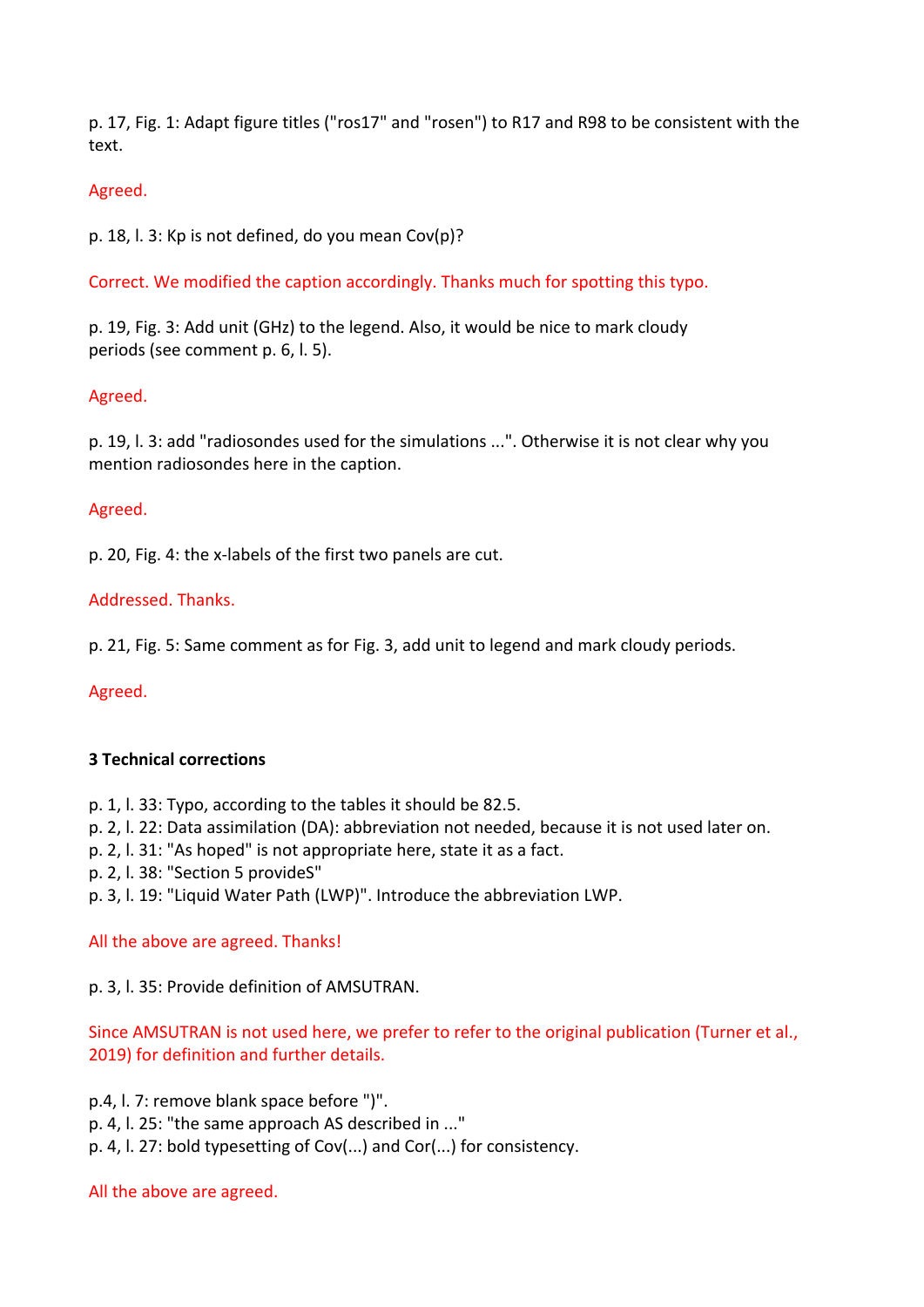p. 17, Fig. 1: Adapt figure titles ("ros17" and "rosen") to R17 and R98 to be consistent with the text.

### Agreed.

p. 18, l. 3: Kp is not defined, do you mean  $Cov(p)$ ?

Correct. We modified the caption accordingly. Thanks much for spotting this typo.

p. 19, Fig. 3: Add unit (GHz) to the legend. Also, it would be nice to mark cloudy periods (see comment p. 6, l. 5).

### Agreed.

p. 19, l. 3: add "radiosondes used for the simulations ...". Otherwise it is not clear why you mention radiosondes here in the caption.

#### Agreed.

p. 20, Fig. 4: the x-labels of the first two panels are cut.

### Addressed. Thanks.

p. 21, Fig. 5: Same comment as for Fig. 3, add unit to legend and mark cloudy periods.

Agreed.

#### **3 Technical corrections**

- p. 1, l. 33: Typo, according to the tables it should be 82.5.
- p. 2, l. 22: Data assimilation (DA): abbreviation not needed, because it is not used later on.
- p. 2, l. 31: "As hoped" is not appropriate here, state it as a fact.
- p. 2, l. 38: "Section 5 provideS"
- p. 3, I. 19: "Liquid Water Path (LWP)". Introduce the abbreviation LWP.

## All the above are agreed. Thanks!

p. 3, l. 35: Provide definition of AMSUTRAN.

Since AMSUTRAN is not used here, we prefer to refer to the original publication (Turner et al., 2019) for definition and further details.

p.4, l. 7: remove blank space before ")". p. 4, l. 25: "the same approach AS described in ..." p. 4, l. 27: bold typesetting of Cov(...) and Cor(...) for consistency.

#### All the above are agreed.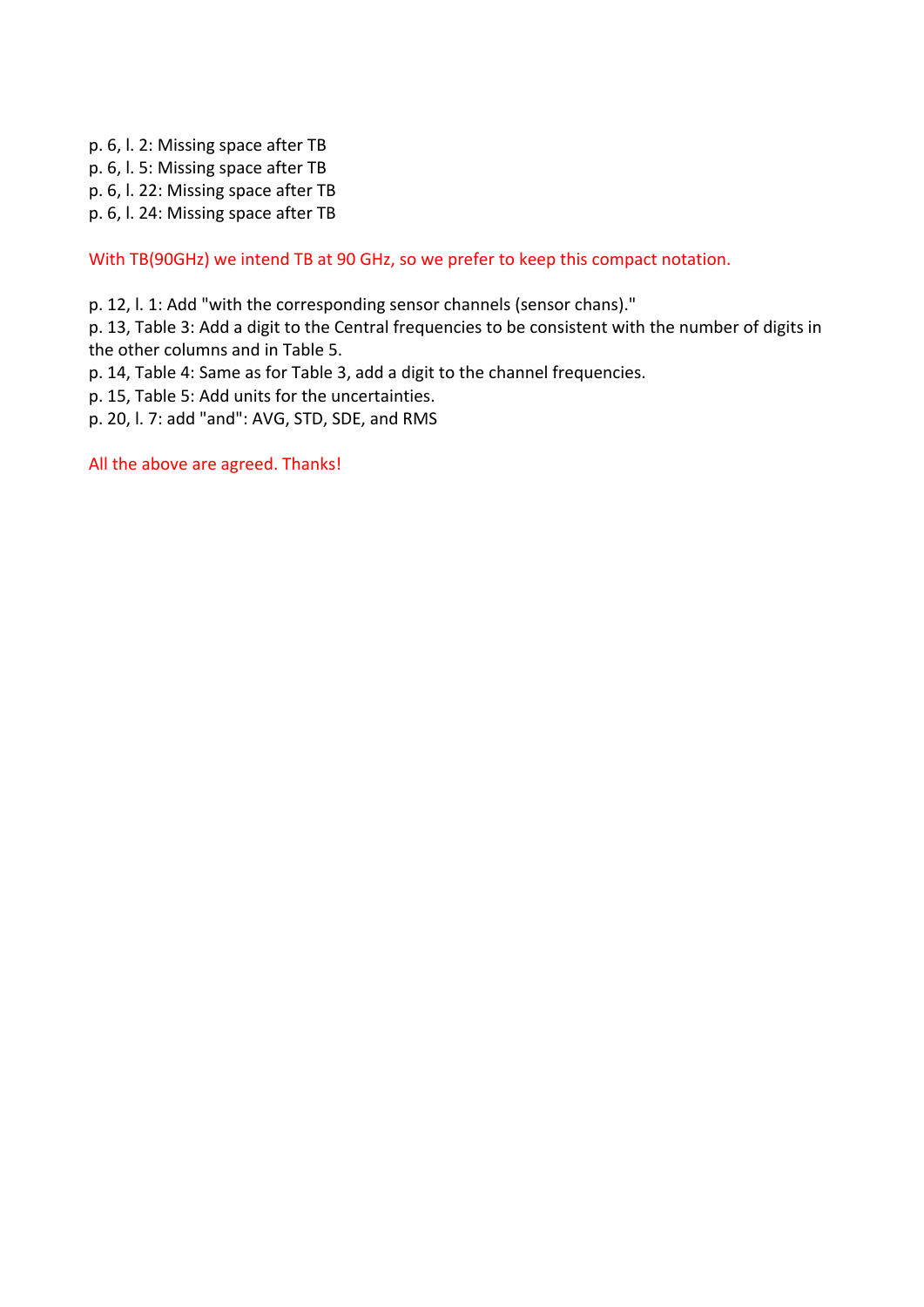- p. 6, l. 2: Missing space after TB
- p. 6, l. 5: Missing space after TB
- p. 6, l. 22: Missing space after TB
- p. 6, l. 24: Missing space after TB

With TB(90GHz) we intend TB at 90 GHz, so we prefer to keep this compact notation.

p. 12, l. 1: Add "with the corresponding sensor channels (sensor chans)."

p. 13, Table 3: Add a digit to the Central frequencies to be consistent with the number of digits in the other columns and in Table 5.

- p. 14, Table 4: Same as for Table 3, add a digit to the channel frequencies.
- p. 15, Table 5: Add units for the uncertainties.
- p. 20, l. 7: add "and": AVG, STD, SDE, and RMS

All the above are agreed. Thanks!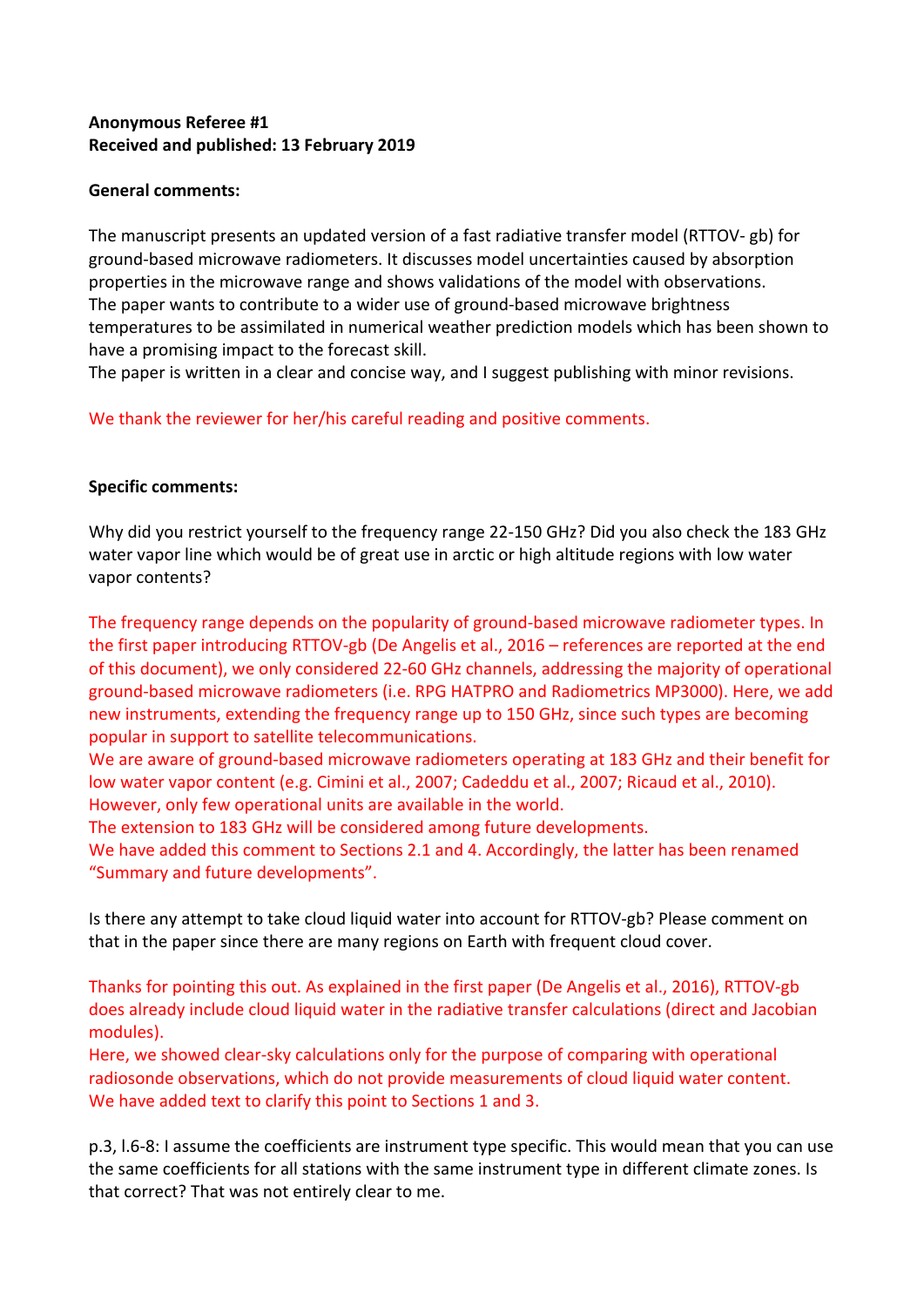# **Anonymous Referee #1 Received and published: 13 February 2019**

### **General comments:**

The manuscript presents an updated version of a fast radiative transfer model (RTTOV- gb) for ground-based microwave radiometers. It discusses model uncertainties caused by absorption properties in the microwave range and shows validations of the model with observations. The paper wants to contribute to a wider use of ground-based microwave brightness temperatures to be assimilated in numerical weather prediction models which has been shown to have a promising impact to the forecast skill.

The paper is written in a clear and concise way, and I suggest publishing with minor revisions.

We thank the reviewer for her/his careful reading and positive comments.

## **Specific comments:**

Why did you restrict yourself to the frequency range 22-150 GHz? Did you also check the 183 GHz water vapor line which would be of great use in arctic or high altitude regions with low water vapor contents?

The frequency range depends on the popularity of ground-based microwave radiometer types. In the first paper introducing RTTOV-gb (De Angelis et al., 2016 – references are reported at the end of this document), we only considered 22-60 GHz channels, addressing the majority of operational ground-based microwave radiometers (i.e. RPG HATPRO and Radiometrics MP3000). Here, we add new instruments, extending the frequency range up to 150 GHz, since such types are becoming popular in support to satellite telecommunications.

We are aware of ground-based microwave radiometers operating at 183 GHz and their benefit for low water vapor content (e.g. Cimini et al., 2007; Cadeddu et al., 2007; Ricaud et al., 2010). However, only few operational units are available in the world.

The extension to 183 GHz will be considered among future developments.

We have added this comment to Sections 2.1 and 4. Accordingly, the latter has been renamed "Summary and future developments".

Is there any attempt to take cloud liquid water into account for RTTOV-gb? Please comment on that in the paper since there are many regions on Earth with frequent cloud cover.

Thanks for pointing this out. As explained in the first paper (De Angelis et al., 2016), RTTOV-gb does already include cloud liquid water in the radiative transfer calculations (direct and Jacobian modules). 

Here, we showed clear-sky calculations only for the purpose of comparing with operational radiosonde observations, which do not provide measurements of cloud liquid water content. We have added text to clarify this point to Sections 1 and 3.

p.3, I.6-8: I assume the coefficients are instrument type specific. This would mean that you can use the same coefficients for all stations with the same instrument type in different climate zones. Is that correct? That was not entirely clear to me.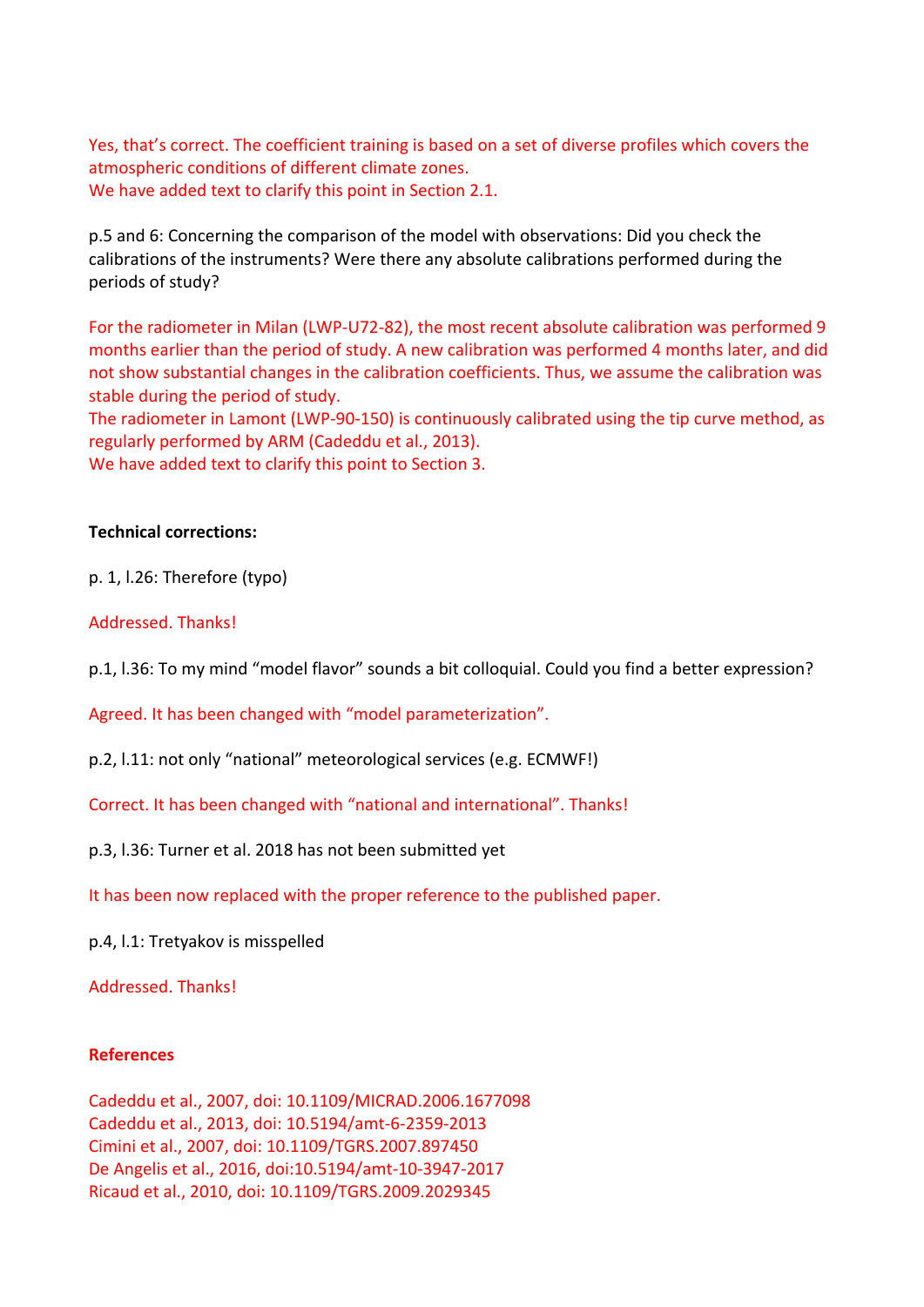Yes, that's correct. The coefficient training is based on a set of diverse profiles which covers the atmospheric conditions of different climate zones. We have added text to clarify this point in Section 2.1.

p.5 and 6: Concerning the comparison of the model with observations: Did you check the calibrations of the instruments? Were there any absolute calibrations performed during the periods of study?

For the radiometer in Milan (LWP-U72-82), the most recent absolute calibration was performed 9 months earlier than the period of study. A new calibration was performed 4 months later, and did not show substantial changes in the calibration coefficients. Thus, we assume the calibration was stable during the period of study.

The radiometer in Lamont (LWP-90-150) is continuously calibrated using the tip curve method, as regularly performed by ARM (Cadeddu et al., 2013).

We have added text to clarify this point to Section 3.

#### **Technical corrections:**

p. 1, l.26: Therefore (typo)

#### Addressed. Thanks!

p.1, I.36: To my mind "model flavor" sounds a bit colloquial. Could you find a better expression?

Agreed. It has been changed with "model parameterization".

p.2, l.11: not only "national" meteorological services (e.g. ECMWF!)

Correct. It has been changed with "national and international". Thanks!

p.3, I.36: Turner et al. 2018 has not been submitted yet

It has been now replaced with the proper reference to the published paper.

p.4, I.1: Tretyakov is misspelled

Addressed. Thanks!

#### **References**

Cadeddu et al., 2007, doi: 10.1109/MICRAD.2006.1677098 Cadeddu et al., 2013, doi: 10.5194/amt-6-2359-2013 Cimini et al., 2007, doi: 10.1109/TGRS.2007.897450 De Angelis et al., 2016, doi:10.5194/amt-10-3947-2017 Ricaud et al., 2010, doi: 10.1109/TGRS.2009.2029345